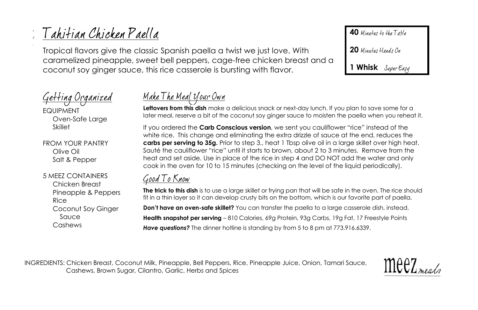# Tahitian Chicken Paella

Tropical flavors give the classic Spanish paella a twist we just love. With caramelized pineapple, sweet bell peppers, cage-free chicken breast and a coconut soy ginger sauce, this rice casserole is bursting with flavor.

Getting Organized

EQUIPMENT Oven-Safe Large **Skillet** 

FROM YOUR PANTRY Olive Oil Salt & Pepper

5 MEEZ CONTAINERS Chicken Breast Pineapple & Peppers Rice Coconut Soy Ginger Sauce Cashews

## <u>Make The Meal Your Own</u>

**Leftovers from this dish** make a delicious snack or next-day lunch. If you plan to save some for a later meal, reserve a bit of the coconut soy ginger sauce to moisten the paella when you reheat it.

If you ordered the **Carb Conscious version**, we sent you cauliflower "rice" instead of the white rice. This change and eliminating the extra drizzle of sauce at the end, reduces the **carbs per serving to 35g.** Prior to step 3., heat 1 Tbsp olive oil in a large skillet over high heat. Sauté the cauliflower "rice" until it starts to brown, about 2 to 3 minutes. Remove from the heat and set aside. Use in place of the rice in step 4 and DO NOT add the water and only cook in the oven for 10 to 15 minutes (checking on the level of the liquid periodically).

### Good To Know

**The trick to this dish** is to use a large skillet or frying pan that will be safe in the oven. The rice should fit in a thin layer so it can develop crusty bits on the bottom, which is our favorite part of paella. **Don't have an oven-safe skillet?** You can transfer the paella to a large casserole dish, instead. **Health snapshot per serving** – 810 Calories, 69g Protein, 93g Carbs, 19g Fat, 17 Freestyle Points *Have questions?* The dinner hotline is standing by from 5 to 8 pm at 773.916.6339.

INGREDIENTS: Chicken Breast, Coconut Milk, Pineapple, Bell Peppers, Rice, Pineapple Juice, Onion, Tamari Sauce, Cashews, Brown Sugar, Cilantro, Garlic, Herbs and Spices



**40** Minutes to the Table

20 Minutes Hands On

**1 Whisk**